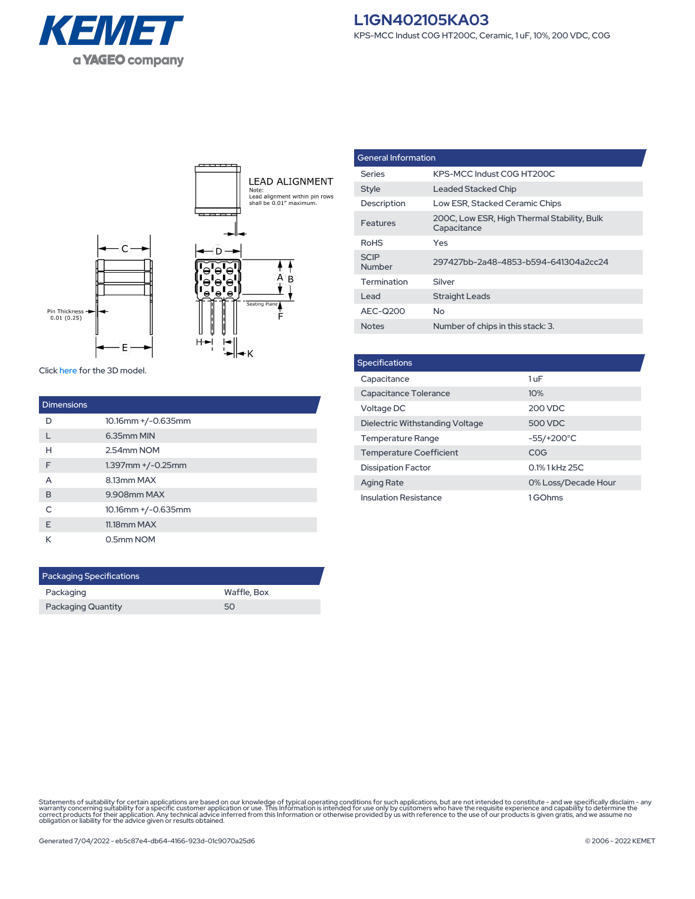



Click [here](https://connect.kemet.com:7667/gateway/IntelliData-ComponentDocumentation/1.0/download/step/L1GN402105KA03.step) for the 3D model.

| <b>Dimensions</b> |                         |
|-------------------|-------------------------|
| D                 | 10.16mm +/-0.635mm      |
|                   | 6.35mm MIN              |
| н                 | 2.54mm NOM              |
| F                 | $1.397$ mm $+/-0.25$ mm |
| A                 | 8.13mm MAX              |
| B                 | 9.908mm MAX             |
| C                 | 10.16mm +/-0.635mm      |
| F                 | 11.18mm MAX             |
| К                 | 0.5mm NOM               |

| <b>Packaging Specifications</b> |  |  |  |
|---------------------------------|--|--|--|
| Waffle, Box                     |  |  |  |
| 50                              |  |  |  |
|                                 |  |  |  |

| <b>General Information</b> |                                                            |  |
|----------------------------|------------------------------------------------------------|--|
| Series                     | KPS-MCC Indust COG HT200C                                  |  |
| Style                      | Leaded Stacked Chip                                        |  |
| Description                | Low ESR, Stacked Ceramic Chips                             |  |
| Features                   | 200C, Low ESR, High Thermal Stability, Bulk<br>Capacitance |  |
| <b>RoHS</b>                | Yes                                                        |  |
| <b>SCIP</b><br>Number      | 297427bb-2a48-4853-b594-641304a2cc24                       |  |
| Termination                | Silver                                                     |  |
| Lead                       | <b>Straight Leads</b>                                      |  |
| AEC-Q200                   | Nο                                                         |  |
| <b>Notes</b>               | Number of chips in this stack: 3.                          |  |

| <b>Specifications</b>           |                     |  |  |
|---------------------------------|---------------------|--|--|
| Capacitance                     | 1uF                 |  |  |
| Capacitance Tolerance           | 10%                 |  |  |
| Voltage DC                      | 200 VDC             |  |  |
| Dielectric Withstanding Voltage | 500 VDC             |  |  |
| <b>Temperature Range</b>        | $-55/+200°C$        |  |  |
| <b>Temperature Coefficient</b>  | COG                 |  |  |
| <b>Dissipation Factor</b>       | 0.1% 1 kHz 25C      |  |  |
| <b>Aging Rate</b>               | 0% Loss/Decade Hour |  |  |
| <b>Insulation Resistance</b>    | 1GOhms              |  |  |

Statements of suitability for certain applications are based on our knowledge of typical operating conditions for such applications, but are not intended to constitute - and we specifically disclaim - any<br>warranty concerni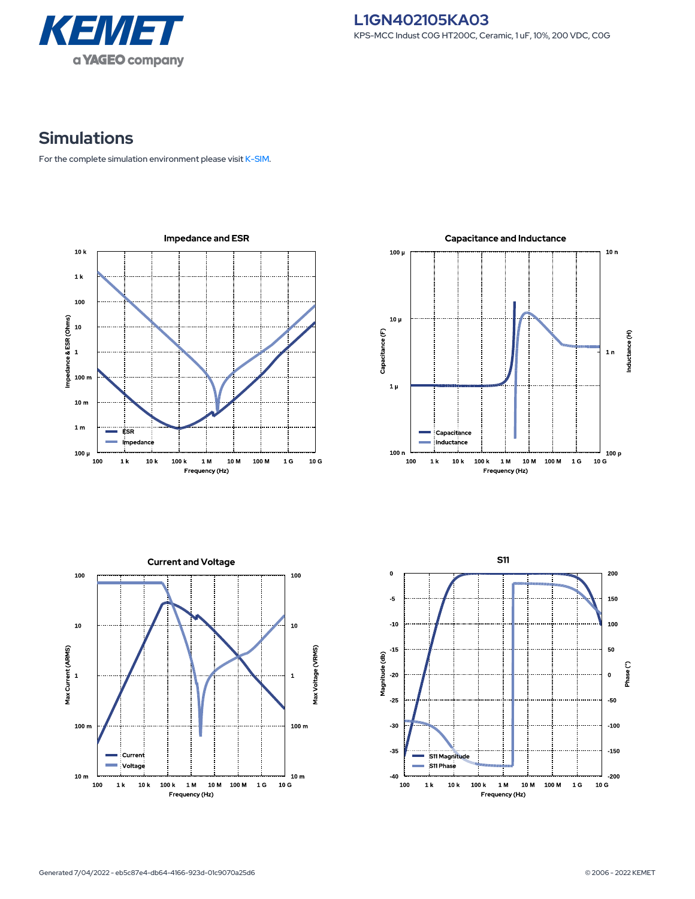

## **Simulations**

For the complete simulation environment please visit [K-SIM](https://ksim.kemet.com/?pn=L1GN402105KA03).

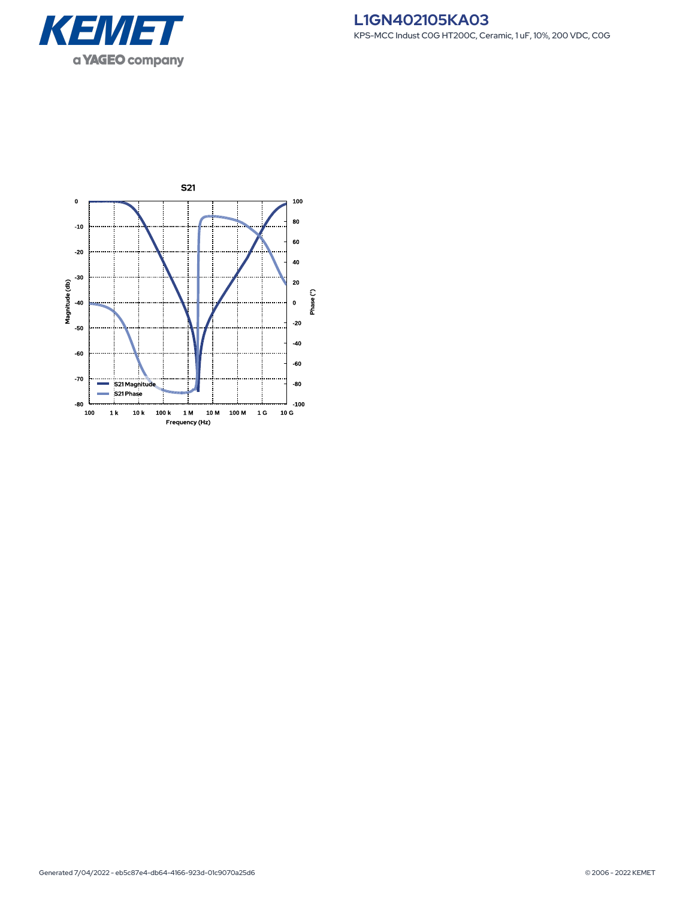